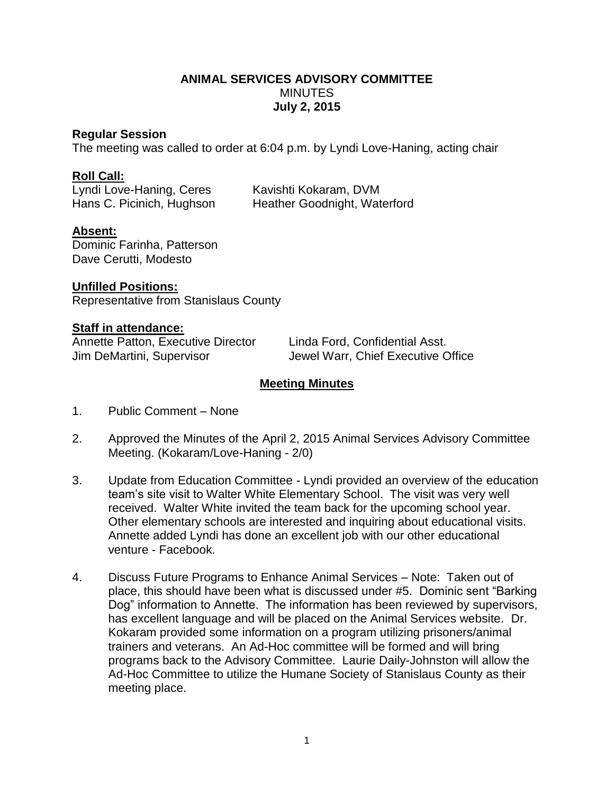## **ANIMAL SERVICES ADVISORY COMMITTEE MINUTES July 2, 2015**

### **Regular Session**

The meeting was called to order at 6:04 p.m. by Lyndi Love-Haning, acting chair

## **Roll Call:**

Lyndi Love-Haning, Ceres Kavishti Kokaram, DVM

Hans C. Picinich, Hughson Heather Goodnight, Waterford

# **Absent:**

Dominic Farinha, Patterson Dave Cerutti, Modesto

**Unfilled Positions:** Representative from Stanislaus County

#### **Staff in attendance:**

Annette Patton, Executive Director Linda Ford, Confidential Asst.

Jim DeMartini, Supervisor Jewel Warr, Chief Executive Office

## **Meeting Minutes**

- 1. Public Comment None
- 2. Approved the Minutes of the April 2, 2015 Animal Services Advisory Committee Meeting. (Kokaram/Love-Haning - 2/0)
- 3. Update from Education Committee Lyndi provided an overview of the education team's site visit to Walter White Elementary School. The visit was very well received. Walter White invited the team back for the upcoming school year. Other elementary schools are interested and inquiring about educational visits. Annette added Lyndi has done an excellent job with our other educational venture - Facebook.
- 4. Discuss Future Programs to Enhance Animal Services Note: Taken out of place, this should have been what is discussed under #5. Dominic sent "Barking Dog" information to Annette. The information has been reviewed by supervisors, has excellent language and will be placed on the Animal Services website. Dr. Kokaram provided some information on a program utilizing prisoners/animal trainers and veterans. An Ad-Hoc committee will be formed and will bring programs back to the Advisory Committee. Laurie Daily-Johnston will allow the Ad-Hoc Committee to utilize the Humane Society of Stanislaus County as their meeting place.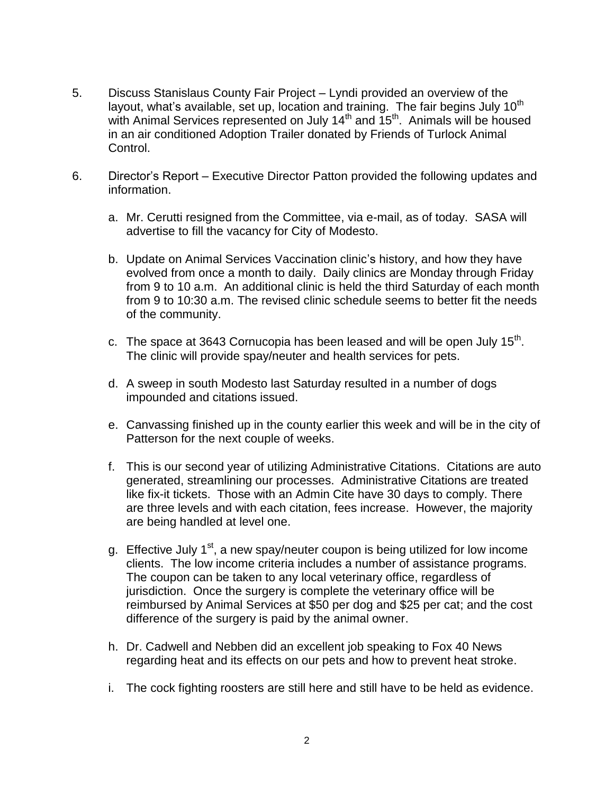- 5. Discuss Stanislaus County Fair Project Lyndi provided an overview of the layout, what's available, set up, location and training. The fair begins July  $10^{th}$ with Animal Services represented on July  $14<sup>th</sup>$  and  $15<sup>th</sup>$ . Animals will be housed in an air conditioned Adoption Trailer donated by Friends of Turlock Animal Control.
- 6. Director's Report Executive Director Patton provided the following updates and information.
	- a. Mr. Cerutti resigned from the Committee, via e-mail, as of today. SASA will advertise to fill the vacancy for City of Modesto.
	- b. Update on Animal Services Vaccination clinic's history, and how they have evolved from once a month to daily. Daily clinics are Monday through Friday from 9 to 10 a.m. An additional clinic is held the third Saturday of each month from 9 to 10:30 a.m. The revised clinic schedule seems to better fit the needs of the community.
	- c. The space at 3643 Cornucopia has been leased and will be open July 15<sup>th</sup>. The clinic will provide spay/neuter and health services for pets.
	- d. A sweep in south Modesto last Saturday resulted in a number of dogs impounded and citations issued.
	- e. Canvassing finished up in the county earlier this week and will be in the city of Patterson for the next couple of weeks.
	- f. This is our second year of utilizing Administrative Citations. Citations are auto generated, streamlining our processes. Administrative Citations are treated like fix-it tickets. Those with an Admin Cite have 30 days to comply. There are three levels and with each citation, fees increase. However, the majority are being handled at level one.
	- g. Effective July 1<sup>st</sup>, a new spay/neuter coupon is being utilized for low income clients. The low income criteria includes a number of assistance programs. The coupon can be taken to any local veterinary office, regardless of jurisdiction. Once the surgery is complete the veterinary office will be reimbursed by Animal Services at \$50 per dog and \$25 per cat; and the cost difference of the surgery is paid by the animal owner.
	- h. Dr. Cadwell and Nebben did an excellent job speaking to Fox 40 News regarding heat and its effects on our pets and how to prevent heat stroke.
	- i. The cock fighting roosters are still here and still have to be held as evidence.